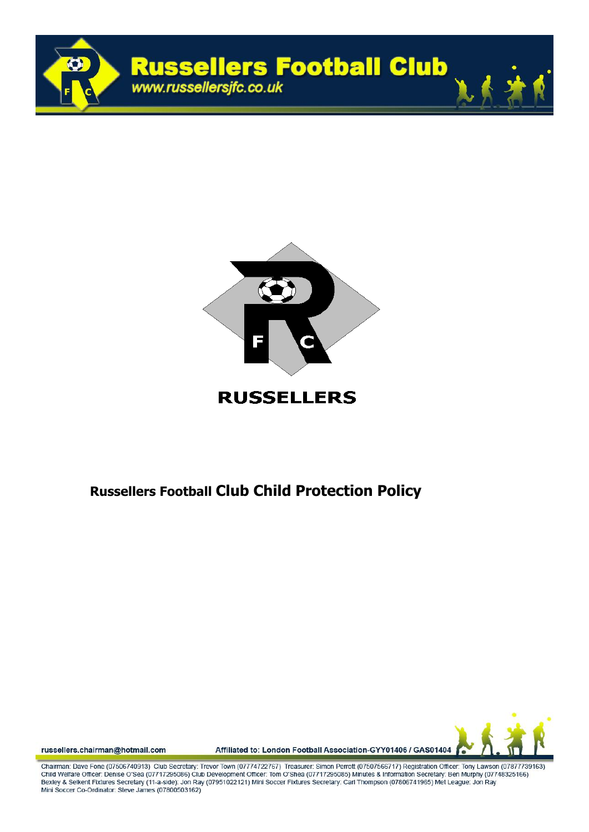



## **RUSSELLERS**

## **Russellers Football Club Child Protection Policy**



russellers.chairman@hotmail.com

Affiliated to: London Football Association-GYY01406 / GAS01404

Chairman: Dave Fone (07506740913) Club Secretary: Trevor Town (07774722767) Treasurer: Simon Perrott (07507566717) Registration Officer: Tony Lawson (07877739163) Child Welfare Officer: Denise O'Sea (07717295086) Club Development Officer: Tom O'Shea (07717295085) Minutes & Information Secretary: Ben Murphy (07748325166) Bexley & Selkent Fixtures Secretary (11-a-side): Jon Ray (07951022121) Mini Soccer Fixtures Secretary: Carl Thompson (07806741965) Met League: Jon Ray Mini Soccer Co-Ordinator: Steve James (07800503162)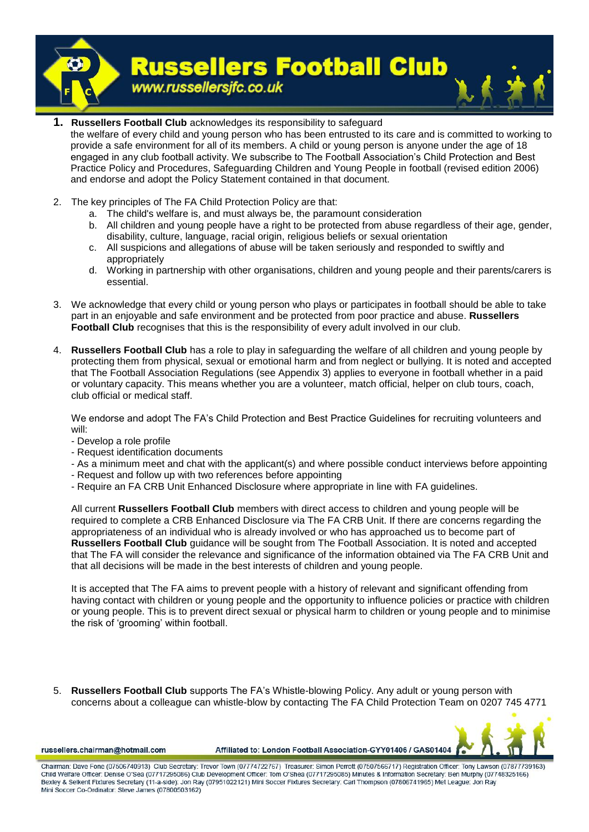

- **1. Russellers Football Club** acknowledges its responsibility to safeguard the welfare of every child and young person who has been entrusted to its care and is committed to working to provide a safe environment for all of its members. A child or young person is anyone under the age of 18 engaged in any club football activity. We subscribe to The Football Association's Child Protection and Best Practice Policy and Procedures, Safeguarding Children and Young People in football (revised edition 2006) and endorse and adopt the Policy Statement contained in that document.
- 2. The key principles of The FA Child Protection Policy are that:
	- a. The child's welfare is, and must always be, the paramount consideration
	- b. All children and young people have a right to be protected from abuse regardless of their age, gender, disability, culture, language, racial origin, religious beliefs or sexual orientation
	- c. All suspicions and allegations of abuse will be taken seriously and responded to swiftly and appropriately
	- d. Working in partnership with other organisations, children and young people and their parents/carers is essential.
- 3. We acknowledge that every child or young person who plays or participates in football should be able to take part in an enjoyable and safe environment and be protected from poor practice and abuse. **Russellers Football Club** recognises that this is the responsibility of every adult involved in our club.
- 4. **Russellers Football Club** has a role to play in safeguarding the welfare of all children and young people by protecting them from physical, sexual or emotional harm and from neglect or bullying. It is noted and accepted that The Football Association Regulations (see Appendix 3) applies to everyone in football whether in a paid or voluntary capacity. This means whether you are a volunteer, match official, helper on club tours, coach, club official or medical staff.

We endorse and adopt The FA's Child Protection and Best Practice Guidelines for recruiting volunteers and will:

- Develop a role profile
- Request identification documents
- As a minimum meet and chat with the applicant(s) and where possible conduct interviews before appointing
- Request and follow up with two references before appointing
- Require an FA CRB Unit Enhanced Disclosure where appropriate in line with FA guidelines.

All current **Russellers Football Club** members with direct access to children and young people will be required to complete a CRB Enhanced Disclosure via The FA CRB Unit. If there are concerns regarding the appropriateness of an individual who is already involved or who has approached us to become part of **Russellers Football Club** guidance will be sought from The Football Association. It is noted and accepted that The FA will consider the relevance and significance of the information obtained via The FA CRB Unit and that all decisions will be made in the best interests of children and young people.

It is accepted that The FA aims to prevent people with a history of relevant and significant offending from having contact with children or young people and the opportunity to influence policies or practice with children or young people. This is to prevent direct sexual or physical harm to children or young people and to minimise the risk of 'grooming' within football.

5. **Russellers Football Club** supports The FA's Whistle-blowing Policy. Any adult or young person with concerns about a colleague can whistle-blow by contacting The FA Child Protection Team on 0207 745 4771



russellers.chairman@hotmail.com

Affiliated to: London Football Association-GYY01406 / GAS01404

Chairman: Dave Fone (07506740913) Club Secretary: Trevor Town (07774722767) Treasurer: Simon Perroff (07507566717) Registration Officer: Tony Lawson (07877739163) Child Welfare Officer: Denise O'Sea (07717295086) Club Development Officer: Tom O'Shea (07717295085) Minutes & Information Secretary: Ben Murphy (07748325166) Bexley & Selkent Fixtures Secretary (11-a-side): Jon Ray (07951022121) Mini Soccer Fixtures Secretary: Carl Thompson (07806741965) Met League: Jon Ray Mini Soccer Co-Ordinator: Steve James (07800503162)